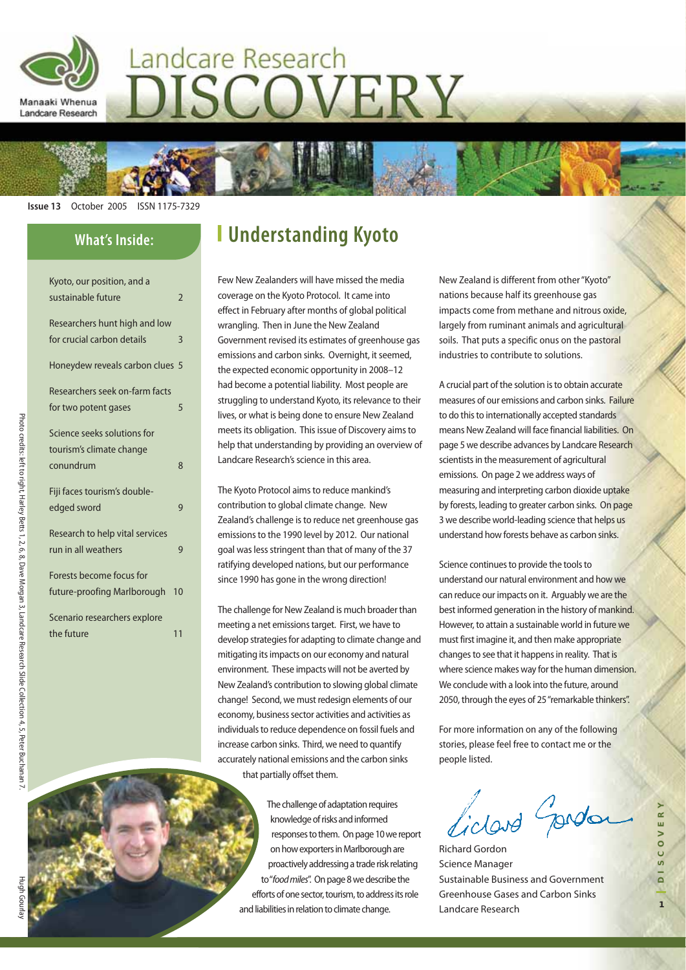

# Landcare Research ISCOVERY

**Issue 13** October 2005 ISSN 1175-7329

### **What's Inside:**

| Kyoto, our position, and a      |                |
|---------------------------------|----------------|
| sustainable future              | $\overline{2}$ |
| Researchers hunt high and low   |                |
| for crucial carbon details      | 3              |
|                                 |                |
| Honeydew reveals carbon clues 5 |                |
|                                 |                |
| Researchers seek on-farm facts  |                |
| for two potent gases            | 5              |
|                                 |                |
| Science seeks solutions for     |                |
| tourism's climate change        |                |
| conundrum                       | 8              |
|                                 |                |
| Fiji faces tourism's double-    |                |
| edged sword                     | 9              |
| Research to help vital services |                |
|                                 |                |
| run in all weathers             | 9              |
| Forests become focus for        |                |
| future-proofing Marlborough     | 10             |
|                                 |                |
| Scenario researchers explore    |                |
| the future                      | 11             |
|                                 |                |

# **Understanding Kyoto**

Few New Zealanders will have missed the media coverage on the Kyoto Protocol. It came into effect in February after months of global political wrangling. Then in June the New Zealand Government revised its estimates of greenhouse gas emissions and carbon sinks. Overnight, it seemed, the expected economic opportunity in 2008–12 had become a potential liability. Most people are struggling to understand Kyoto, its relevance to their lives, or what is being done to ensure New Zealand meets its obligation. This issue of Discovery aims to help that understanding by providing an overview of Landcare Research's science in this area.

The Kyoto Protocol aims to reduce mankind's contribution to global climate change. New Zealand's challenge is to reduce net greenhouse gas emissions to the 1990 level by 2012. Our national goal was less stringent than that of many of the 37 ratifying developed nations, but our performance since 1990 has gone in the wrong direction!

The challenge for New Zealand is much broader than meeting a net emissions target. First, we have to develop strategies for adapting to climate change and mitigating its impacts on our economy and natural environment. These impacts will not be averted by New Zealand's contribution to slowing global climate change! Second, we must redesign elements of our economy, business sector activities and activities as individuals to reduce dependence on fossil fuels and increase carbon sinks. Third, we need to quantify accurately national emissions and the carbon sinks that partially offset them.

> The challenge of adaptation requires knowledge of risks and informed responses to them. On page 10 we report on how exporters in Marlborough are proactively addressing a trade risk relating to "food miles". On page 8 we describe the efforts of one sector, tourism, to address its role and liabilities in relation to climate change.

New Zealand is different from other "Kyoto" nations because half its greenhouse gas impacts come from methane and nitrous oxide, largely from ruminant animals and agricultural soils. That puts a specific onus on the pastoral industries to contribute to solutions.

A crucial part of the solution is to obtain accurate measures of our emissions and carbon sinks. Failure to do this to internationally accepted standards means New Zealand will face financial liabilities. On page 5 we describe advances by Landcare Research scientists in the measurement of agricultural emissions. On page 2 we address ways of measuring and interpreting carbon dioxide uptake by forests, leading to greater carbon sinks. On page 3 we describe world-leading science that helps us understand how forests behave as carbon sinks.

Science continues to provide the tools to understand our natural environment and how we can reduce our impacts on it. Arguably we are the best informed generation in the history of mankind. However, to attain a sustainable world in future we must first imagine it, and then make appropriate changes to see that it happens in reality. That is where science makes way for the human dimension. We conclude with a look into the future, around 2050, through the eyes of 25 "remarkable thinkers".

For more information on any of the following stories, please feel free to contact me or the people listed.

idad produ

**1DISCOVERY**

S C O V E R

Richard Gordon Science Manager Sustainable Business and Government Greenhouse Gases and Carbon Sinks Landcare Research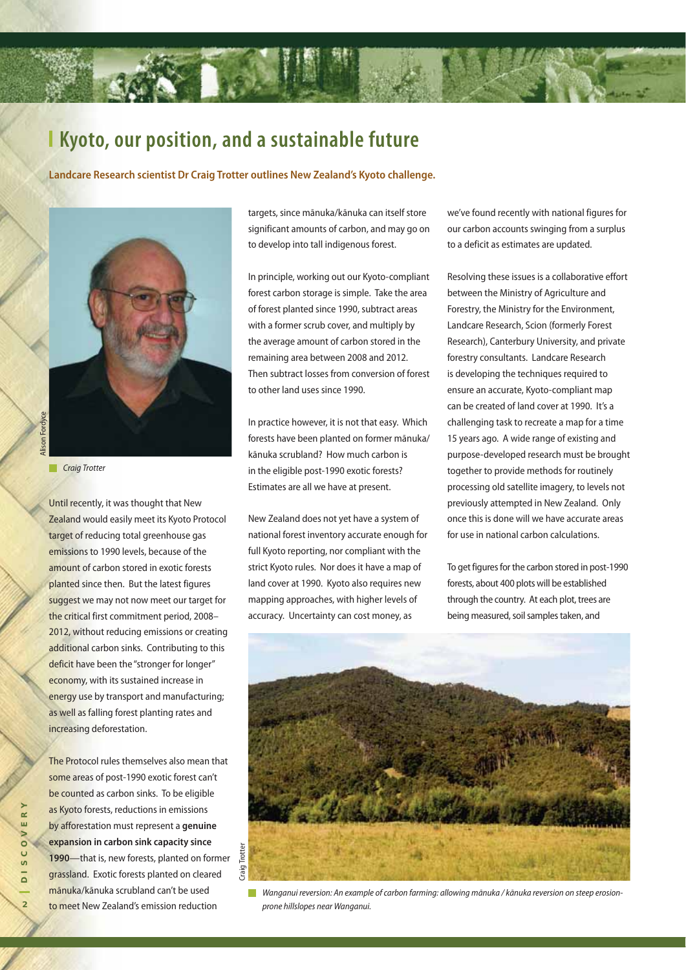# **Kyoto, our position, and a sustainable future**

**Landcare Research scientist Dr Craig Trotter outlines New Zealand's Kyoto challenge.**



Alison Fordyce **Ison Fordvce** 

Craig Trotter

Until recently, it was thought that New Zealand would easily meet its Kyoto Protocol target of reducing total greenhouse gas emissions to 1990 levels, because of the amount of carbon stored in exotic forests planted since then. But the latest figures suggest we may not now meet our target for the critical first commitment period, 2008– 2012, without reducing emissions or creating additional carbon sinks. Contributing to this deficit have been the "stronger for longer" economy, with its sustained increase in energy use by transport and manufacturing; as well as falling forest planting rates and increasing deforestation.

The Protocol rules themselves also mean that some areas of post-1990 exotic forest can't be counted as carbon sinks. To be eligible as Kyoto forests, reductions in emissions by afforestation must represent a **genuine expansion in carbon sink capacity since 1990**—that is, new forests, planted on former grassland. Exotic forests planted on cleared mānuka/kānuka scrubland can't be used to meet New Zealand's emission reduction

targets, since mānuka/kānuka can itself store significant amounts of carbon, and may go on to develop into tall indigenous forest.

In principle, working out our Kyoto-compliant forest carbon storage is simple. Take the area of forest planted since 1990, subtract areas with a former scrub cover, and multiply by the average amount of carbon stored in the remaining area between 2008 and 2012. Then subtract losses from conversion of forest to other land uses since 1990.

In practice however, it is not that easy. Which forests have been planted on former mānuka/ kānuka scrubland? How much carbon is in the eligible post-1990 exotic forests? Estimates are all we have at present.

New Zealand does not yet have a system of national forest inventory accurate enough for full Kyoto reporting, nor compliant with the strict Kyoto rules. Nor does it have a map of land cover at 1990. Kyoto also requires new mapping approaches, with higher levels of accuracy. Uncertainty can cost money, as

we've found recently with national figures for our carbon accounts swinging from a surplus to a deficit as estimates are updated.

Resolving these issues is a collaborative effort between the Ministry of Agriculture and Forestry, the Ministry for the Environment, Landcare Research, Scion (formerly Forest Research), Canterbury University, and private forestry consultants. Landcare Research is developing the techniques required to ensure an accurate, Kyoto-compliant map can be created of land cover at 1990. It's a challenging task to recreate a map for a time 15 years ago. A wide range of existing and purpose-developed research must be brought together to provide methods for routinely processing old satellite imagery, to levels not previously attempted in New Zealand. Only once this is done will we have accurate areas for use in national carbon calculations.

To get figures for the carbon stored in post-1990 forests, about 400 plots will be established through the country. At each plot, trees are being measured, soil samples taken, and



Wanganui reversion: An example of carbon farming: allowing mānuka / kānuka reversion on steep erosionprone hillslopes near Wanganui.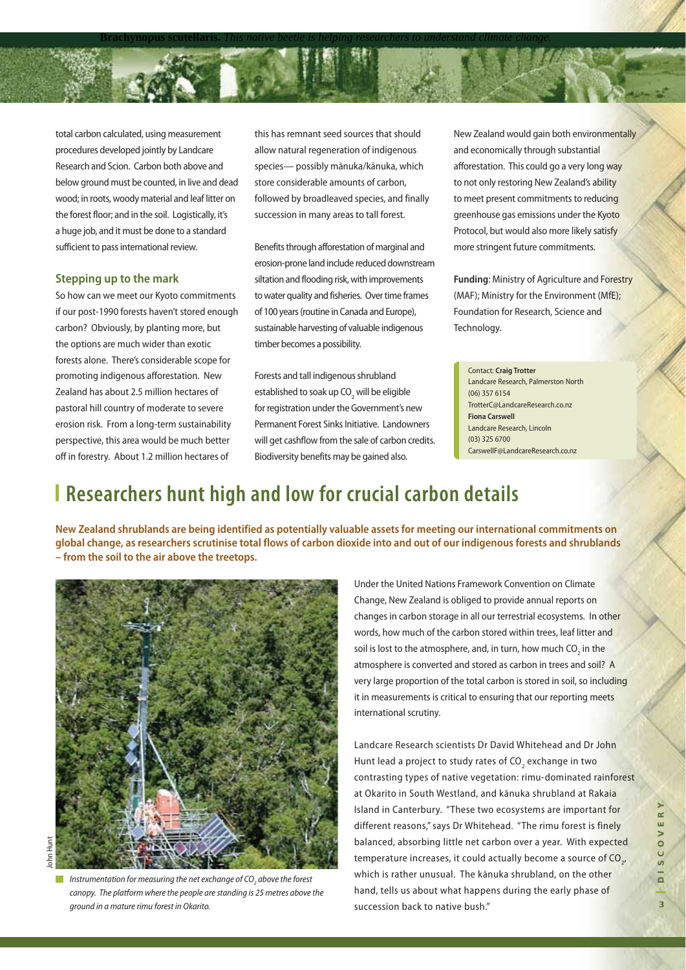total carbon calculated, using measurement procedures developed jointly by Landcare Research and Scion. Carbon both above and below ground must be counted, in live and dead wood; in roots, woody material and leaf litter on the forest floor; and in the soil. Logistically, it's a huge job, and it must be done to a standard sufficient to pass international review.

### **Stepping up to the mark**

So how can we meet our Kyoto commitments if our post-1990 forests haven't stored enough carbon? Obviously, by planting more, but the options are much wider than exotic forests alone. There's considerable scope for promoting indigenous afforestation. New Zealand has about 2.5 million hectares of pastoral hill country of moderate to severe erosion risk. From a long-term sustainability perspective, this area would be much better off in forestry. About 1.2 million hectares of

this has remnant seed sources that should allow natural regeneration of indigenous species— possibly mānuka/kānuka, which store considerable amounts of carbon, followed by broadleaved species, and finally succession in many areas to tall forest.

**Brachynopus scutellaris.** *This native beetle is helping researchers to understand climate change.*

Benefits through afforestation of marginal and erosion-prone land include reduced downstream siltation and flooding risk, with improvements to water quality and fisheries. Over time frames of 100 years (routine in Canada and Europe), sustainable harvesting of valuable indigenous timber becomes a possibility.

Forests and tall indigenous shrubland established to soak up CO<sub>2</sub> will be eligible for registration under the Government's new Permanent Forest Sinks Initiative. Landowners will get cashflow from the sale of carbon credits. Biodiversity benefits may be gained also.

New Zealand would gain both environmentally and economically through substantial afforestation. This could go a very long way to not only restoring New Zealand's ability to meet present commitments to reducing greenhouse gas emissions under the Kyoto Protocol, but would also more likely satisfy more stringent future commitments.

**Funding**: Ministry of Agriculture and Forestry (MAF); Ministry for the Environment (MfE); Foundation for Research, Science and Technology.

Contact: **Craig Trotter** Landcare Research, Palmerston North (06) 357 6154 TrotterC@LandcareResearch.co.nz **Fiona Carswell** Landcare Research, Lincoln (03) 325 6700 CarswellF@LandcareResearch.co.nz

# **Researchers hunt high and low for crucial carbon details**

**New Zealand shrublands are being identified as potentially valuable assets for meeting our international commitments on global change, as researchers scrutinise total flows of carbon dioxide into and out of our indigenous forests and shrublands – from the soil to the air above the treetops.** 



John Huntohn Hu

Instrumentation for measuring the net exchange of CO<sub>2</sub> above the forest canopy. The platform where the people are standing is 25 metres above the ground in a mature rimu forest in Okarito.

Under the United Nations Framework Convention on Climate Change, New Zealand is obliged to provide annual reports on changes in carbon storage in all our terrestrial ecosystems. In other words, how much of the carbon stored within trees, leaf litter and soil is lost to the atmosphere, and, in turn, how much  $CO<sub>2</sub>$  in the atmosphere is converted and stored as carbon in trees and soil? A very large proportion of the total carbon is stored in soil, so including it in measurements is critical to ensuring that our reporting meets international scrutiny.

Landcare Research scientists Dr David Whitehead and Dr John Hunt lead a project to study rates of  $CO_2$  exchange in two contrasting types of native vegetation: rimu-dominated rainforest at Okarito in South Westland, and kānuka shrubland at Rakaia Island in Canterbury. "These two ecosystems are important for different reasons," says Dr Whitehead. "The rimu forest is finely balanced, absorbing little net carbon over a year. With expected temperature increases, it could actually become a source of CO<sub>2</sub>, which is rather unusual. The kānuka shrubland, on the other hand, tells us about what happens during the early phase of succession back to native bush."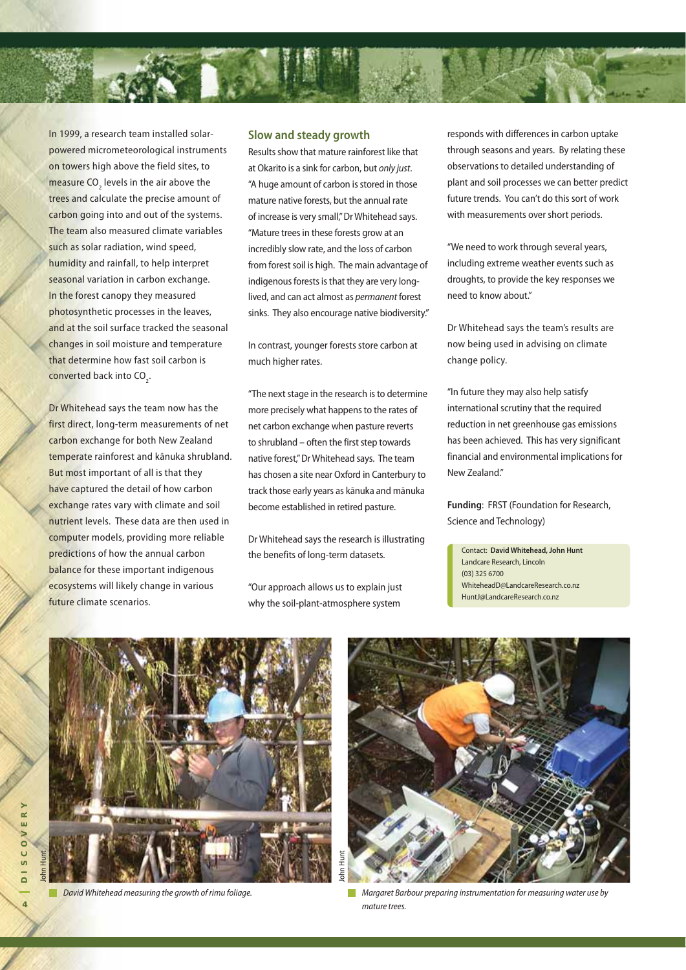

In 1999, a research team installed solarpowered micrometeorological instruments on towers high above the field sites, to measure  $CO<sub>2</sub>$  levels in the air above the trees and calculate the precise amount of carbon going into and out of the systems. The team also measured climate variables such as solar radiation, wind speed, humidity and rainfall, to help interpret seasonal variation in carbon exchange. In the forest canopy they measured photosynthetic processes in the leaves, and at the soil surface tracked the seasonal changes in soil moisture and temperature that determine how fast soil carbon is converted back into CO<sub>2</sub>.

Dr Whitehead says the team now has the first direct, long-term measurements of net carbon exchange for both New Zealand temperate rainforest and kānuka shrubland. But most important of all is that they have captured the detail of how carbon exchange rates vary with climate and soil nutrient levels. These data are then used in computer models, providing more reliable predictions of how the annual carbon balance for these important indigenous ecosystems will likely change in various future climate scenarios.

### **Slow and steady growth**

Results show that mature rainforest like that at Okarito is a sink for carbon, but only just. "A huge amount of carbon is stored in those mature native forests, but the annual rate of increase is very small," Dr Whitehead says. "Mature trees in these forests grow at an incredibly slow rate, and the loss of carbon from forest soil is high. The main advantage of indigenous forests is that they are very longlived, and can act almost as permanent forest sinks. They also encourage native biodiversity."

In contrast, younger forests store carbon at much higher rates.

"The next stage in the research is to determine more precisely what happens to the rates of net carbon exchange when pasture reverts to shrubland – often the first step towards native forest," Dr Whitehead says. The team has chosen a site near Oxford in Canterbury to track those early years as kānuka and mānuka become established in retired pasture.

Dr Whitehead says the research is illustrating the benefits of long-term datasets.

"Our approach allows us to explain just why the soil-plant-atmosphere system

responds with differences in carbon uptake through seasons and years. By relating these observations to detailed understanding of plant and soil processes we can better predict future trends. You can't do this sort of work with measurements over short periods.

"We need to work through several years, including extreme weather events such as droughts, to provide the key responses we need to know about."

Dr Whitehead says the team's results are now being used in advising on climate change policy.

"In future they may also help satisfy international scrutiny that the required reduction in net greenhouse gas emissions has been achieved. This has very significant financial and environmental implications for New Zealand."

**Funding**: FRST (Foundation for Research, Science and Technology)

Contact: **David Whitehead, John Hunt** Landcare Research, Lincoln (03) 325 6700 WhiteheadD@LandcareResearch.co.nz HuntJ@LandcareResearch.co.nz



David Whitehead measuring the growth of rimu foliage.



Margaret Barbour preparing instrumentation for measuring water use by mature trees.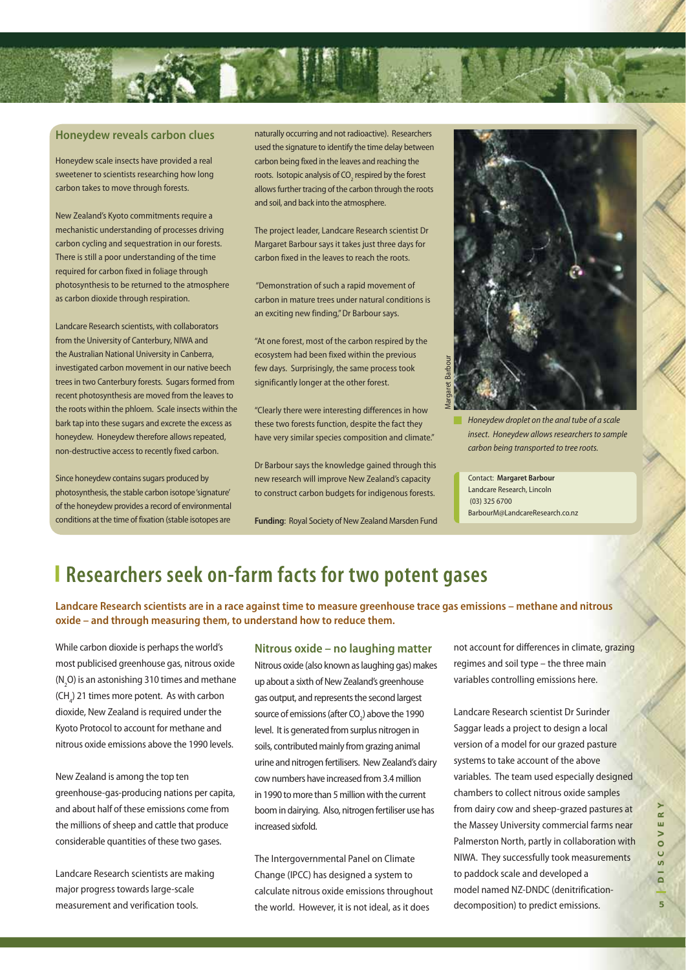

### **Honeydew reveals carbon clues**

Honeydew scale insects have provided a real sweetener to scientists researching how long carbon takes to move through forests.

New Zealand's Kyoto commitments require a mechanistic understanding of processes driving carbon cycling and sequestration in our forests. There is still a poor understanding of the time required for carbon fixed in foliage through photosynthesis to be returned to the atmosphere as carbon dioxide through respiration.

Landcare Research scientists, with collaborators from the University of Canterbury, NIWA and the Australian National University in Canberra, investigated carbon movement in our native beech trees in two Canterbury forests. Sugars formed from recent photosynthesis are moved from the leaves to the roots within the phloem. Scale insects within the bark tap into these sugars and excrete the excess as honeydew. Honeydew therefore allows repeated, non-destructive access to recently fixed carbon.

Since honeydew contains sugars produced by photosynthesis, the stable carbon isotope 'signature' of the honeydew provides a record of environmental conditions at the time of fixation (stable isotopes are

naturally occurring and not radioactive). Researchers used the signature to identify the time delay between carbon being fixed in the leaves and reaching the roots. Isotopic analysis of CO<sub>2</sub> respired by the forest allows further tracing of the carbon through the roots and soil, and back into the atmosphere.

The project leader, Landcare Research scientist Dr Margaret Barbour says it takes just three days for carbon fixed in the leaves to reach the roots.

 "Demonstration of such a rapid movement of carbon in mature trees under natural conditions is an exciting new finding," Dr Barbour says.

"At one forest, most of the carbon respired by the ecosystem had been fixed within the previous few days. Surprisingly, the same process took significantly longer at the other forest.

"Clearly there were interesting differences in how these two forests function, despite the fact they have very similar species composition and climate."

Dr Barbour says the knowledge gained through this new research will improve New Zealand's capacity to construct carbon budgets for indigenous forests.

**Funding**: Royal Society of New Zealand Marsden Fund



Honeydew droplet on the anal tube of a scale insect. Honeydew allows researchers to sample carbon being transported to tree roots.

Contact: **Margaret Barbour** Landcare Research, Lincoln (03) 325 6700 BarbourM@LandcareResearch.co.nz

### **Researchers seek on-farm facts for two potent gases**

**Landcare Research scientists are in a race against time to measure greenhouse trace gas emissions – methane and nitrous oxide – and through measuring them, to understand how to reduce them.**

While carbon dioxide is perhaps the world's most publicised greenhouse gas, nitrous oxide  $(N_2O)$  is an astonishing 310 times and methane  $(\text{CH}_4)$  21 times more potent. As with carbon dioxide, New Zealand is required under the Kyoto Protocol to account for methane and nitrous oxide emissions above the 1990 levels.

New Zealand is among the top ten greenhouse-gas-producing nations per capita, and about half of these emissions come from the millions of sheep and cattle that produce considerable quantities of these two gases.

Landcare Research scientists are making major progress towards large-scale measurement and verification tools.

### **Nitrous oxide – no laughing matter**

Nitrous oxide (also known as laughing gas) makes up about a sixth of New Zealand's greenhouse gas output, and represents the second largest source of emissions (after CO<sub>2</sub>) above the 1990 level. It is generated from surplus nitrogen in soils, contributed mainly from grazing animal urine and nitrogen fertilisers. New Zealand's dairy cow numbers have increased from 3.4 million in 1990 to more than 5 million with the current boom in dairying. Also, nitrogen fertiliser use has increased sixfold.

The Intergovernmental Panel on Climate Change (IPCC) has designed a system to calculate nitrous oxide emissions throughout the world. However, it is not ideal, as it does

not account for differences in climate, grazing regimes and soil type – the three main variables controlling emissions here.

Landcare Research scientist Dr Surinder Saggar leads a project to design a local version of a model for our grazed pasture systems to take account of the above variables. The team used especially designed chambers to collect nitrous oxide samples from dairy cow and sheep-grazed pastures at the Massey University commercial farms near Palmerston North, partly in collaboration with NIWA. They successfully took measurements to paddock scale and developed a model named NZ-DNDC (denitrificationdecomposition) to predict emissions.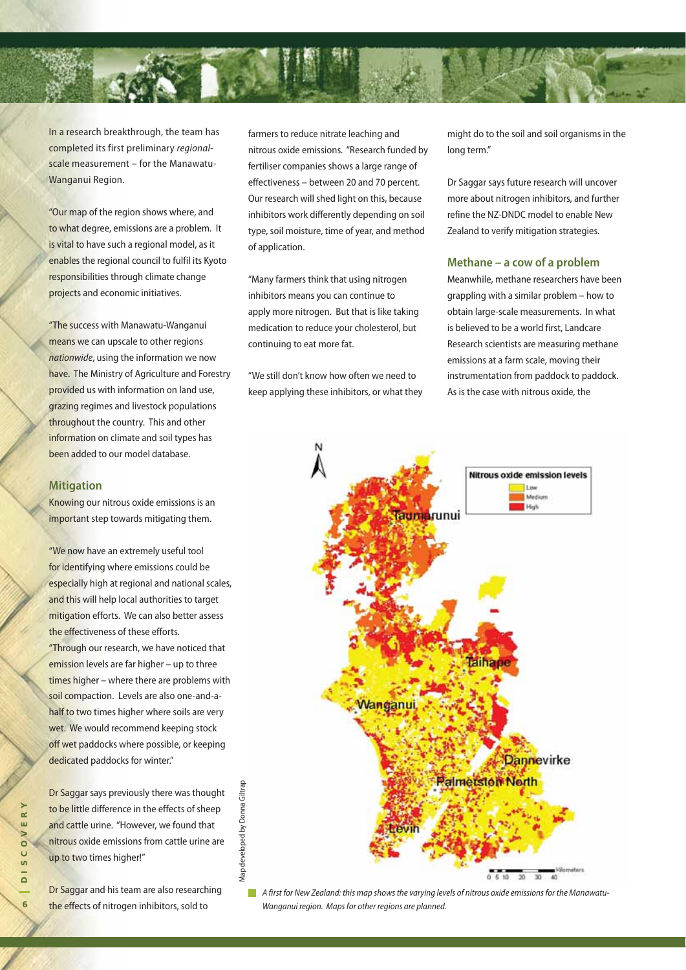

In a research breakthrough, the team has completed its first preliminary regionalscale measurement – for the Manawatu-Wanganui Region.

"Our map of the region shows where, and to what degree, emissions are a problem. It is vital to have such a regional model, as it enables the regional council to fulfil its Kyoto responsibilities through climate change projects and economic initiatives.

"The success with Manawatu-Wanganui means we can upscale to other regions nationwide, using the information we now have. The Ministry of Agriculture and Forestry provided us with information on land use, grazing regimes and livestock populations throughout the country. This and other information on climate and soil types has been added to our model database.

#### **Mitigation**

Knowing our nitrous oxide emissions is an important step towards mitigating them.

"We now have an extremely useful tool for identifying where emissions could be especially high at regional and national scales, and this will help local authorities to target mitigation efforts. We can also better assess the effectiveness of these efforts. "Through our research, we have noticed that emission levels are far higher – up to three times higher – where there are problems with soil compaction. Levels are also one-and-ahalf to two times higher where soils are very wet. We would recommend keeping stock off wet paddocks where possible, or keeping dedicated paddocks for winter."

Dr Saggar says previously there was thought to be little difference in the effects of sheep and cattle urine. "However, we found that nitrous oxide emissions from cattle urine are up to two times higher!"

Map developed by Donna Giltrap

Vlap

developed by Donna Giltrap

Dr Saggar and his team are also researching the effects of nitrogen inhibitors, sold to

farmers to reduce nitrate leaching and nitrous oxide emissions. "Research funded by fertiliser companies shows a large range of effectiveness – between 20 and 70 percent. Our research will shed light on this, because inhibitors work differently depending on soil type, soil moisture, time of year, and method of application.

"Many farmers think that using nitrogen inhibitors means you can continue to apply more nitrogen. But that is like taking medication to reduce your cholesterol, but continuing to eat more fat.

"We still don't know how often we need to keep applying these inhibitors, or what they might do to the soil and soil organisms in the long term."

Dr Saggar says future research will uncover more about nitrogen inhibitors, and further refine the NZ-DNDC model to enable New Zealand to verify mitigation strategies.

#### **Methane – a cow of a problem**

Meanwhile, methane researchers have been grappling with a similar problem – how to obtain large-scale measurements. In what is believed to be a world first, Landcare Research scientists are measuring methane emissions at a farm scale, moving their instrumentation from paddock to paddock. As is the case with nitrous oxide, the



A first for New Zealand: this map shows the varying levels of nitrous oxide emissions for the Manawatu-T. Wanganui region. Maps for other regions are planned.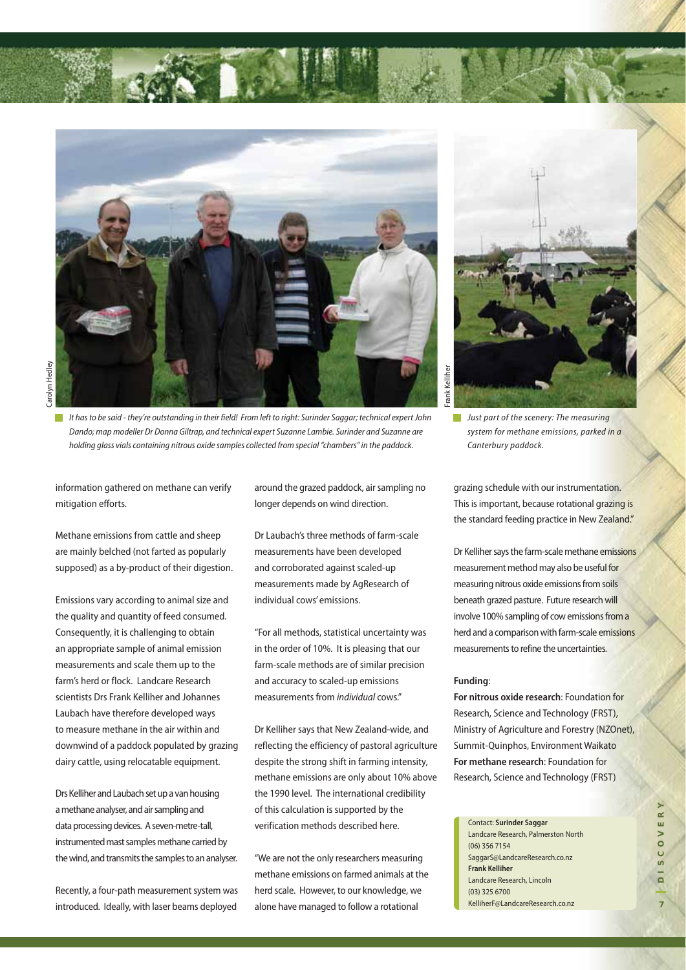

It has to be said - they're outstanding in their field! From left to right: Surinder Saggar; technical expert John Dando; map modeller Dr Donna Giltrap, and technical expert Suzanne Lambie. Surinder and Suzanne are holding glass vials containing nitrous oxide samples collected from special "chambers" in the paddock.

information gathered on methane can verify mitigation efforts.

Methane emissions from cattle and sheep are mainly belched (not farted as popularly supposed) as a by-product of their digestion.

Emissions vary according to animal size and the quality and quantity of feed consumed. Consequently, it is challenging to obtain an appropriate sample of animal emission measurements and scale them up to the farm's herd or flock. Landcare Research scientists Drs Frank Kelliher and Johannes Laubach have therefore developed ways to measure methane in the air within and downwind of a paddock populated by grazing dairy cattle, using relocatable equipment.

Drs Kelliher and Laubach set up a van housing a methane analyser, and air sampling and data processing devices. A seven-metre-tall, instrumented mast samples methane carried by the wind, and transmits the samples to an analyser.

Recently, a four-path measurement system was introduced. Ideally, with laser beams deployed

around the grazed paddock, air sampling no longer depends on wind direction.

Dr Laubach's three methods of farm-scale measurements have been developed and corroborated against scaled-up measurements made by AgResearch of individual cows' emissions.

"For all methods, statistical uncertainty was in the order of 10%. It is pleasing that our farm-scale methods are of similar precision and accuracy to scaled-up emissions measurements from individual cows."

Dr Kelliher says that New Zealand-wide, and reflecting the efficiency of pastoral agriculture despite the strong shift in farming intensity, methane emissions are only about 10% above the 1990 level. The international credibility of this calculation is supported by the verification methods described here.

"We are not the only researchers measuring methane emissions on farmed animals at the herd scale. However, to our knowledge, we alone have managed to follow a rotational



 $\blacksquare$  Just part of the scenery: The measuring system for methane emissions, parked in a Canterbury paddock.

grazing schedule with our instrumentation. This is important, because rotational grazing is the standard feeding practice in New Zealand."

Dr Kelliher says the farm-scale methane emissions measurement method may also be useful for measuring nitrous oxide emissions from soils beneath grazed pasture. Future research will involve 100% sampling of cow emissions from a herd and a comparison with farm-scale emissions measurements to refine the uncertainties.

#### **Funding**:

**For nitrous oxide research**: Foundation for Research, Science and Technology (FRST), Ministry of Agriculture and Forestry (NZOnet), Summit-Quinphos, Environment Waikato **For methane research**: Foundation for Research, Science and Technology (FRST)

Contact: **Surinder Saggar** Landcare Research, Palmerston North (06) 356 7154 SaggarS@LandcareResearch.co.nz **Frank Kelliher** Landcare Research, Lincoln (03) 325 6700 KelliherF@LandcareResearch.co.nz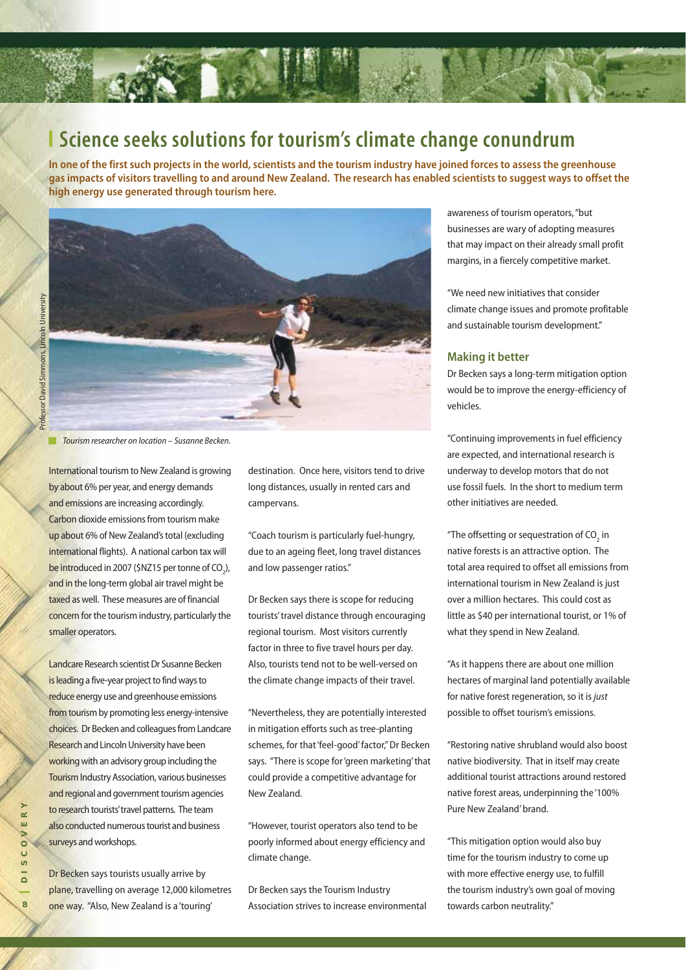

### **Science seeks solutions for tourism's climate change conundrum**

**In one of the first such projects in the world, scientists and the tourism industry have joined forces to assess the greenhouse gas impacts of visitors travelling to and around New Zealand. The research has enabled scientists to suggest ways to offset the high energy use generated through tourism here.**



**The Tourism researcher on location – Susanne Becken.** 

International tourism to New Zealand is growing by about 6% per year, and energy demands and emissions are increasing accordingly. Carbon dioxide emissions from tourism make up about 6% of New Zealand's total (excluding international flights). A national carbon tax will be introduced in 2007 (\$NZ15 per tonne of  $CO<sub>2</sub>$ ), and in the long-term global air travel might be taxed as well. These measures are of financial concern for the tourism industry, particularly the smaller operators.

Landcare Research scientist Dr Susanne Becken is leading a five-year project to find ways to reduce energy use and greenhouse emissions from tourism by promoting less energy-intensive choices. Dr Becken and colleagues from Landcare Research and Lincoln University have been working with an advisory group including the Tourism Industry Association, various businesses and regional and government tourism agencies to research tourists' travel patterns. The team also conducted numerous tourist and business surveys and workshops.

Dr Becken says tourists usually arrive by plane, travelling on average 12,000 kilometres one way. "Also, New Zealand is a 'touring'

destination. Once here, visitors tend to drive long distances, usually in rented cars and campervans.

"Coach tourism is particularly fuel-hungry, due to an ageing fleet, long travel distances and low passenger ratios."

Dr Becken says there is scope for reducing tourists' travel distance through encouraging regional tourism. Most visitors currently factor in three to five travel hours per day. Also, tourists tend not to be well-versed on the climate change impacts of their travel.

"Nevertheless, they are potentially interested in mitigation efforts such as tree-planting schemes, for that 'feel-good' factor," Dr Becken says. "There is scope for 'green marketing' that could provide a competitive advantage for New Zealand.

"However, tourist operators also tend to be poorly informed about energy efficiency and climate change.

Dr Becken says the Tourism Industry Association strives to increase environmental awareness of tourism operators, "but businesses are wary of adopting measures that may impact on their already small profit margins, in a fiercely competitive market.

"We need new initiatives that consider climate change issues and promote profitable and sustainable tourism development."

### **Making it better**

Dr Becken says a long-term mitigation option would be to improve the energy-efficiency of vehicles.

"Continuing improvements in fuel efficiency are expected, and international research is underway to develop motors that do not use fossil fuels. In the short to medium term other initiatives are needed.

"The offsetting or sequestration of  $CO<sub>2</sub>$  in native forests is an attractive option. The total area required to offset all emissions from international tourism in New Zealand is just over a million hectares. This could cost as little as \$40 per international tourist, or 1% of what they spend in New Zealand.

"As it happens there are about one million hectares of marginal land potentially available for native forest regeneration, so it is just possible to offset tourism's emissions.

"Restoring native shrubland would also boost native biodiversity. That in itself may create additional tourist attractions around restored native forest areas, underpinning the '100% Pure New Zealand' brand.

"This mitigation option would also buy time for the tourism industry to come up with more effective energy use, to fulfill the tourism industry's own goal of moving towards carbon neutrality."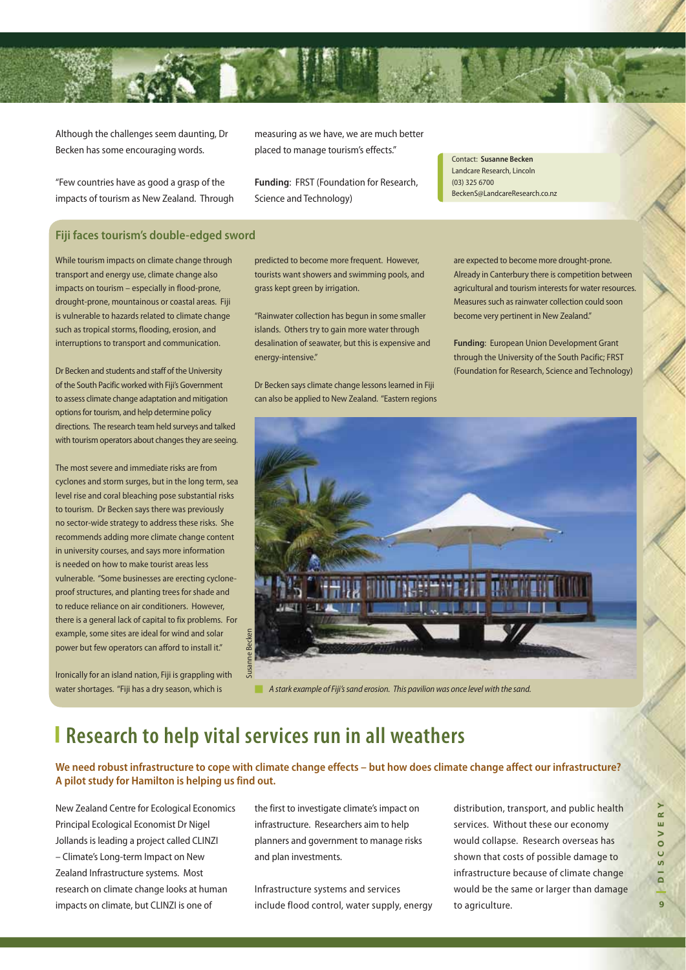

Although the challenges seem daunting, Dr Becken has some encouraging words.

"Few countries have as good a grasp of the impacts of tourism as New Zealand. Through

measuring as we have, we are much better placed to manage tourism's effects."

**Funding**: FRST (Foundation for Research, Science and Technology)

Contact: **Susanne Becken** Landcare Research, Lincoln (03) 325 6700 BeckenS@LandcareResearch.co.nz

### **Fiji faces tourism's double-edged sword**

While tourism impacts on climate change through transport and energy use, climate change also impacts on tourism – especially in flood-prone, drought-prone, mountainous or coastal areas. Fiji is vulnerable to hazards related to climate change such as tropical storms, flooding, erosion, and interruptions to transport and communication.

Dr Becken and students and staff of the University of the South Pacific worked with Fiji's Government to assess climate change adaptation and mitigation options for tourism, and help determine policy directions. The research team held surveys and talked with tourism operators about changes they are seeing.

The most severe and immediate risks are from cyclones and storm surges, but in the long term, sea level rise and coral bleaching pose substantial risks to tourism. Dr Becken says there was previously no sector-wide strategy to address these risks. She recommends adding more climate change content in university courses, and says more information is needed on how to make tourist areas less vulnerable. "Some businesses are erecting cycloneproof structures, and planting trees for shade and to reduce reliance on air conditioners. However, there is a general lack of capital to fix problems. For example, some sites are ideal for wind and solar power but few operators can afford to install it."

Ironically for an island nation, Fiji is grappling with water shortages. "Fiji has a dry season, which is

predicted to become more frequent. However, tourists want showers and swimming pools, and grass kept green by irrigation.

"Rainwater collection has begun in some smaller islands. Others try to gain more water through desalination of seawater, but this is expensive and energy-intensive."

Dr Becken says climate change lessons learned in Fiji can also be applied to New Zealand. "Eastern regions are expected to become more drought-prone. Already in Canterbury there is competition between agricultural and tourism interests for water resources. Measures such as rainwater collection could soon become very pertinent in New Zealand."

**Funding**: European Union Development Grant through the University of the South Pacific; FRST (Foundation for Research, Science and Technology)



**A** stark example of Fiji's sand erosion. This pavilion was once level with the sand.

## **Research to help vital services run in all weathers**

**We need robust infrastructure to cope with climate change effects – but how does climate change affect our infrastructure? A pilot study for Hamilton is helping us find out.**

New Zealand Centre for Ecological Economics Principal Ecological Economist Dr Nigel Jollands is leading a project called CLINZI – Climate's Long-term Impact on New Zealand Infrastructure systems. Most research on climate change looks at human impacts on climate, but CLINZI is one of

the first to investigate climate's impact on infrastructure. Researchers aim to help planners and government to manage risks and plan investments.

Infrastructure systems and services include flood control, water supply, energy distribution, transport, and public health services. Without these our economy would collapse. Research overseas has shown that costs of possible damage to infrastructure because of climate change would be the same or larger than damage to agriculture.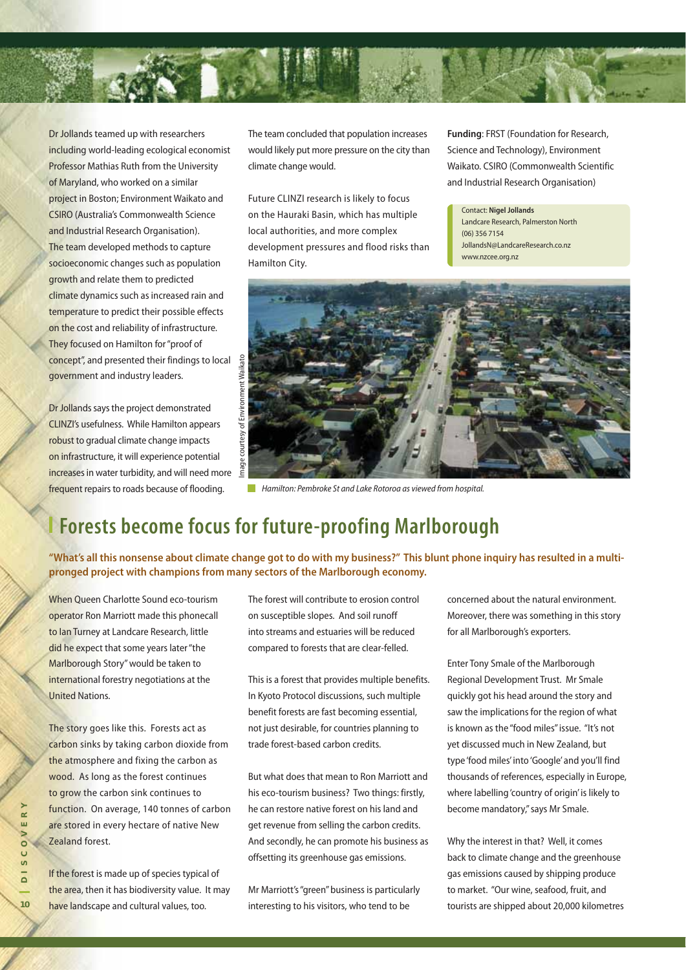

Dr Jollands teamed up with researchers including world-leading ecological economist Professor Mathias Ruth from the University of Maryland, who worked on a similar project in Boston; Environment Waikato and CSIRO (Australia's Commonwealth Science and Industrial Research Organisation). The team developed methods to capture socioeconomic changes such as population growth and relate them to predicted climate dynamics such as increased rain and temperature to predict their possible effects on the cost and reliability of infrastructure. They focused on Hamilton for "proof of concept", and presented their findings to local government and industry leaders.

Dr Jollands says the project demonstrated CLINZI's usefulness. While Hamilton appears robust to gradual climate change impacts on infrastructure, it will experience potential increases in water turbidity, and will need more frequent repairs to roads because of flooding.

The team concluded that population increases would likely put more pressure on the city than climate change would.

Future CLINZI research is likely to focus on the Hauraki Basin, which has multiple local authorities, and more complex development pressures and flood risks than Hamilton City.

**Funding**: FRST (Foundation for Research, Science and Technology), Environment Waikato. CSIRO (Commonwealth Scientific and Industrial Research Organisation)

Contact: **Nigel Jollands** Landcare Research, Palmerston North (06) 356 7154 JollandsN@LandcareResearch.co.nz www.nzcee.org.nz



**Hamilton: Pembroke St and Lake Rotoroa as viewed from hospital.** 

# **Forests become focus for future-proofing Marlborough**

**"What's all this nonsense about climate change got to do with my business?" This blunt phone inquiry has resulted in a multipronged project with champions from many sectors of the Marlborough economy.** 

When Queen Charlotte Sound eco-tourism operator Ron Marriott made this phonecall to Ian Turney at Landcare Research, little did he expect that some years later "the Marlborough Story" would be taken to international forestry negotiations at the United Nations.

The story goes like this. Forests act as carbon sinks by taking carbon dioxide from the atmosphere and fixing the carbon as wood. As long as the forest continues to grow the carbon sink continues to function. On average, 140 tonnes of carbon are stored in every hectare of native New Zealand forest.

If the forest is made up of species typical of the area, then it has biodiversity value. It may have landscape and cultural values, too.

The forest will contribute to erosion control on susceptible slopes. And soil runoff into streams and estuaries will be reduced compared to forests that are clear-felled.

This is a forest that provides multiple benefits. In Kyoto Protocol discussions, such multiple benefit forests are fast becoming essential, not just desirable, for countries planning to trade forest-based carbon credits.

But what does that mean to Ron Marriott and his eco-tourism business? Two things: firstly, he can restore native forest on his land and get revenue from selling the carbon credits. And secondly, he can promote his business as offsetting its greenhouse gas emissions.

Mr Marriott's "green" business is particularly interesting to his visitors, who tend to be

concerned about the natural environment. Moreover, there was something in this story for all Marlborough's exporters.

Enter Tony Smale of the Marlborough Regional Development Trust. Mr Smale quickly got his head around the story and saw the implications for the region of what is known as the "food miles" issue. "It's not yet discussed much in New Zealand, but type 'food miles' into 'Google' and you'll find thousands of references, especially in Europe, where labelling 'country of origin' is likely to become mandatory," says Mr Smale.

Why the interest in that? Well, it comes back to climate change and the greenhouse gas emissions caused by shipping produce to market. "Our wine, seafood, fruit, and tourists are shipped about 20,000 kilometres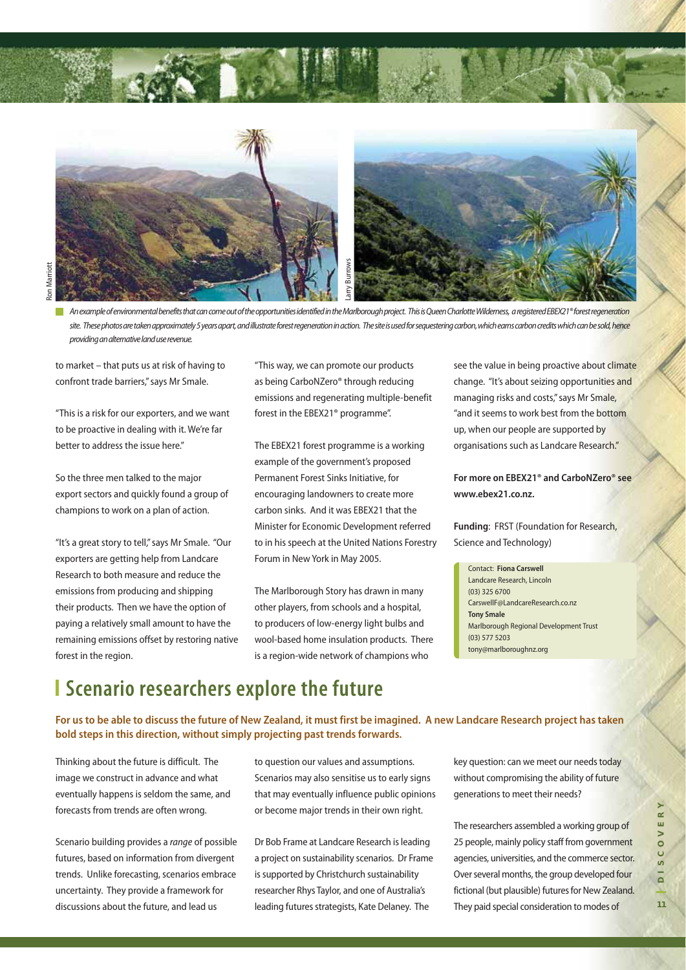

An example of environmental benefits that can come out of the opportunities identified in the Marlborough project. This is Queen Charlotte Wilderness, a registered EBEX21® forest regeneration site. These photos are taken approximately 5 years apart, and illustrate forest regeneration in action. The site is used for sequestering carbon, which earns carbon credits which can be sold, hence providing an alternative land use revenue.

to market – that puts us at risk of having to confront trade barriers," says Mr Smale.

"This is a risk for our exporters, and we want to be proactive in dealing with it. We're far better to address the issue here."

So the three men talked to the major export sectors and quickly found a group of champions to work on a plan of action.

"It's a great story to tell," says Mr Smale. "Our exporters are getting help from Landcare Research to both measure and reduce the emissions from producing and shipping their products. Then we have the option of paying a relatively small amount to have the remaining emissions offset by restoring native forest in the region.

"This way, we can promote our products as being CarboNZero® through reducing emissions and regenerating multiple-benefit forest in the EBEX21® programme".

The EBEX21 forest programme is a working example of the government's proposed Permanent Forest Sinks Initiative, for encouraging landowners to create more carbon sinks. And it was EBEX21 that the Minister for Economic Development referred to in his speech at the United Nations Forestry Forum in New York in May 2005.

The Marlborough Story has drawn in many other players, from schools and a hospital, to producers of low-energy light bulbs and wool-based home insulation products. There is a region-wide network of champions who

see the value in being proactive about climate change. "It's about seizing opportunities and managing risks and costs," says Mr Smale, "and it seems to work best from the bottom up, when our people are supported by organisations such as Landcare Research."

**For more on EBEX21® and CarboNZero® see www.ebex21.co.nz.**

**Funding**: FRST (Foundation for Research, Science and Technology)

Contact: **Fiona Carswell** Landcare Research, Lincoln (03) 325 6700 CarswellF@LandcareResearch.co.nz **Tony Smale** Marlborough Regional Development Trust (03) 577 5203 tony@marlboroughnz.org

# **Scenario researchers explore the future**

**For us to be able to discuss the future of New Zealand, it must first be imagined. A new Landcare Research project has taken bold steps in this direction, without simply projecting past trends forwards.**

Thinking about the future is difficult. The image we construct in advance and what eventually happens is seldom the same, and forecasts from trends are often wrong.

Scenario building provides a range of possible futures, based on information from divergent trends. Unlike forecasting, scenarios embrace uncertainty. They provide a framework for discussions about the future, and lead us

to question our values and assumptions. Scenarios may also sensitise us to early signs that may eventually influence public opinions or become major trends in their own right.

Dr Bob Frame at Landcare Research is leading a project on sustainability scenarios. Dr Frame is supported by Christchurch sustainability researcher Rhys Taylor, and one of Australia's leading futures strategists, Kate Delaney. The

key question: can we meet our needs today without compromising the ability of future generations to meet their needs?

The researchers assembled a working group of 25 people, mainly policy staff from government agencies, universities, and the commerce sector. Over several months, the group developed four fictional (but plausible) futures for New Zealand. They paid special consideration to modes of